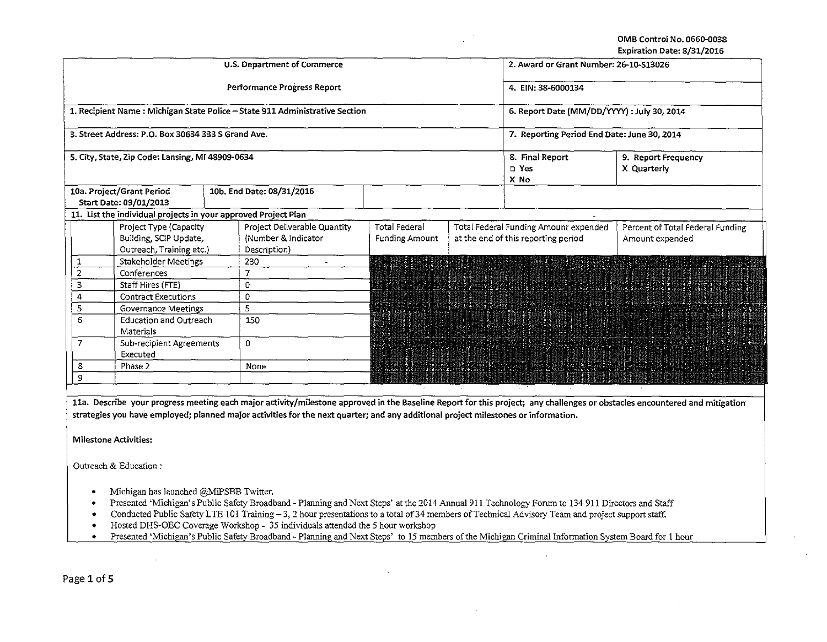OMB Control No. 0660-0038 **Expiration Date: 8/31/2016** 

|                |                                                                |  |                                                                             |                                             |                                          |                                                                                                                                                                                                                                  | EXPITATION DATE: 0/31/2010       |  |
|----------------|----------------------------------------------------------------|--|-----------------------------------------------------------------------------|---------------------------------------------|------------------------------------------|----------------------------------------------------------------------------------------------------------------------------------------------------------------------------------------------------------------------------------|----------------------------------|--|
|                |                                                                |  | U.S. Department of Commerce                                                 | 2. Award or Grant Number: 26-10-S13026      |                                          |                                                                                                                                                                                                                                  |                                  |  |
|                |                                                                |  | Performance Progress Report                                                 | 4. EIN: 38-6000134                          |                                          |                                                                                                                                                                                                                                  |                                  |  |
|                |                                                                |  | 1. Recipient Name: Michigan State Police - State 911 Administrative Section | 6. Report Date (MM/DD/YYYY) : July 30, 2014 |                                          |                                                                                                                                                                                                                                  |                                  |  |
|                | 3. Street Address: P.O. Box 30634 333 S Grand Ave.             |  |                                                                             | 7. Reporting Period End Date: June 30, 2014 |                                          |                                                                                                                                                                                                                                  |                                  |  |
|                | 5. City, State, Zip Code: Lansing, MI 48909-0634               |  |                                                                             |                                             | 8. Final Report<br>$\square$ Yes<br>X No | 9. Report Frequency<br>X Quarterly                                                                                                                                                                                               |                                  |  |
|                |                                                                |  |                                                                             |                                             |                                          |                                                                                                                                                                                                                                  |                                  |  |
|                | 10a. Project/Grant Period                                      |  | 10b. End Date: 08/31/2016                                                   |                                             |                                          |                                                                                                                                                                                                                                  |                                  |  |
|                | Start Date: 09/01/2013                                         |  |                                                                             |                                             |                                          |                                                                                                                                                                                                                                  |                                  |  |
|                | 11. List the individual projects in your approved Project Plan |  |                                                                             |                                             |                                          |                                                                                                                                                                                                                                  |                                  |  |
|                | Project Type (Capacity                                         |  | Project Deliverable Quantity                                                | <b>Total Federal</b>                        |                                          | Total Federal Funding Amount expended                                                                                                                                                                                            | Percent of Total Federal Funding |  |
|                | Building, SCIP Update,                                         |  | (Number & Indicator                                                         | <b>Funding Amount</b>                       |                                          | at the end of this reporting period                                                                                                                                                                                              | Amount expended                  |  |
|                | Outreach, Training etc.)                                       |  | Description)                                                                |                                             |                                          |                                                                                                                                                                                                                                  |                                  |  |
| 1              | Stakeholder Meetings                                           |  | 230<br>a.                                                                   |                                             |                                          | a di provincia dell'Internetti della provincia dell'Internetti dell'Internetti dell'Internetti dell'Internetti<br>Internetti della provincia della compania della contra della compania della compania della compania della comp |                                  |  |
| 2              | Conferences                                                    |  | $\overline{7}$                                                              |                                             |                                          | ном союзую политической помощь политической политической политической компании и политической изменения и и по<br>В политической политической политической политической политической политической политической политической поли |                                  |  |
| 3              | Staff Hires (FTE)                                              |  | 0                                                                           |                                             |                                          |                                                                                                                                                                                                                                  |                                  |  |
| 4              | <b>Contract Executions</b>                                     |  | 0                                                                           |                                             |                                          |                                                                                                                                                                                                                                  |                                  |  |
| 5              | Governance Meetings                                            |  | 5                                                                           |                                             |                                          |                                                                                                                                                                                                                                  |                                  |  |
| 6              | <b>Education and Outreach</b><br>Materials                     |  | 150                                                                         |                                             |                                          |                                                                                                                                                                                                                                  |                                  |  |
| $\overline{7}$ | Sub-recipient Agreements<br>Executed                           |  | 0                                                                           |                                             |                                          |                                                                                                                                                                                                                                  |                                  |  |
| 8              | Phase 2                                                        |  | None                                                                        |                                             |                                          |                                                                                                                                                                                                                                  |                                  |  |
| 9              |                                                                |  |                                                                             |                                             |                                          |                                                                                                                                                                                                                                  |                                  |  |
|                |                                                                |  |                                                                             |                                             |                                          |                                                                                                                                                                                                                                  |                                  |  |

11a. Describe your progress meeting each major activity/milestone approved in the Baseline Report for this project; any challenges or obstacles encountered and mitigation **strategies you have employed; planned major activities for the next quarter; and any additional project milestones or information.** 

**Milestone Activities:** 

Outreach & Education :

- Michigan has launched @MiPSBB Twitter.
- Presented 'Michigan's Public Safety Broadband- Planning and Next Steps' at the 2014 Annual911 Technology Forum to 134 911 Directors and Staff
- Conducted Public Safety LTE 101 Training 3, 2 hour presentations to a total of 34 members of Technical Advisory Team and project support staff.
- 
- Hosted DHS-OEC Coverage Workshop- 35 individuals attended the *5* hour workshop •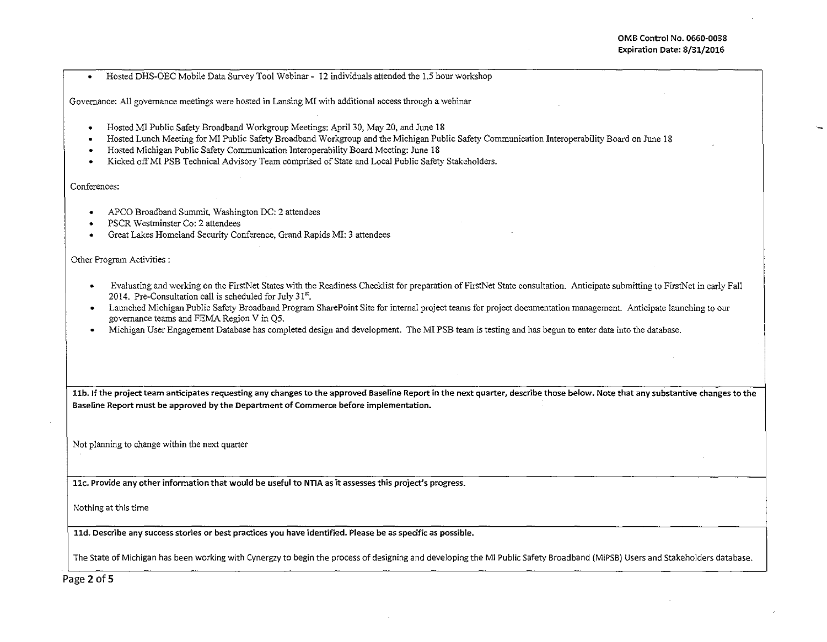• Hosted DHS-OEC Mobile Data Survey Tool Webinar- 12 individuals attended the 1.5 hour workshop

Governance: All governance meetings were hosted in Lansing MI with additional access through a webinar

- Hosted Ml Public Safety Broadband Workgroup Meetings: April30, May 20, and June 18
- Hosted Lunch Meeting for MI Public Safety Broadband Workgroup and the Michigan Public Safety Communication Interoperability Board on June 18
- Hosted Michigan Public Safety Communication Interoperability Board Meeting: June 18
- Kicked offMI PSB Technical Advisory Team comprised of State and Local Public Safety Stakeholders.

## Conferences:

- APCO Broadband Summit, Washington DC: 2 attendees
- PSCR Westminster Co: 2 attendees
- Great Lakes Homeland Security Conference, Grand Rapids MI: 3 attendees

Other Program Activities :

- Evaluating and working on the FirstNet States with the Readiness Checklist for preparation ofFirstNet State consultation. Anticipate submitting to FirstNet in early Fall 2014. Pre-Consultation call is scheduled for July  $31<sup>st</sup>$ .
- Launched Michigan Public Safety Broadband Program SharePoint Site for internal project teams for project documentation management. Anticipate launching to our governance teams and FEMA Region V in Q5.
- Michigan User Engagement Database has completed design and development. The Ml PSB team is testing and has begun to enter data into the database.

11b. If the project team anticipates requesting any changes to the approved Baseline Report in the next quarter, describe those below. Note that any substantive changes to the Baseline Report must be approved by the Department of Commerce before implementation.

Not planning to change within the next quarter

llc. Provide any other information that would be useful to NTIA as it assesses this project's progress.

Nothing at this time

lld. Describe any success stories or best practices you have identified. Please be as specific as possible.

The State of Michigan has been working with Cynergzy to begin the process of designing and developing the Ml Public Safety Broadband (MiPSB) Users and Stakeholders database.

Page 2 of 5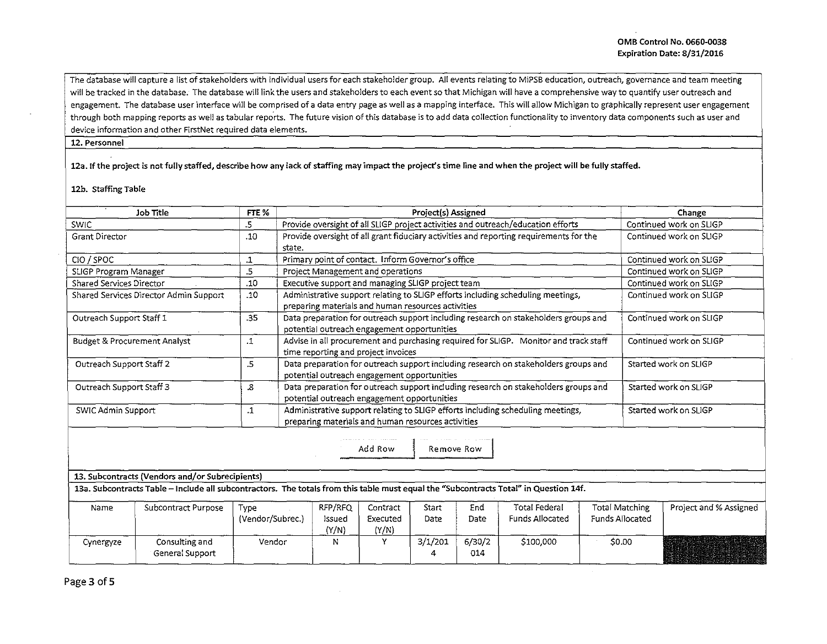The database will capture a list of stakeholders with individual users for each stakeholder group. All events relating to MiPSB education, outreach, governance and team meeting will be tracked in the database. The database will link the users and stakeholders to each event so that Michigan will have a comprehensive way to quantify user outreach and engagement. The database user interface will be comprised of a data entry page as well as a mapping interface. This will allow Michigan to graphically represent user engagement through both mapping reports as well as tabular reports. The future vision of this database is to add data collection functionality to inventory data components such as user and device information and other FirstNet required data elements.

## 12. Personnel

**12a. If the project is not fully staffed, describe how any lack of staffing may impact the project's time line and when the project will be fully staffed.** 

## **12b. Staffing Table**

|                                                                                                                                                                                     | Job Title                                                                                                                                                                                |                                                                                                                                       | Project(s) Assigned                                                                                                                |                                                                                                                                       |                               |                      |                       |                                         |                         | Change                                          |                         |
|-------------------------------------------------------------------------------------------------------------------------------------------------------------------------------------|------------------------------------------------------------------------------------------------------------------------------------------------------------------------------------------|---------------------------------------------------------------------------------------------------------------------------------------|------------------------------------------------------------------------------------------------------------------------------------|---------------------------------------------------------------------------------------------------------------------------------------|-------------------------------|----------------------|-----------------------|-----------------------------------------|-------------------------|-------------------------------------------------|-------------------------|
| <b>SWIC</b>                                                                                                                                                                         |                                                                                                                                                                                          | .5                                                                                                                                    | Provide oversight of all SLIGP project activities and outreach/education efforts                                                   |                                                                                                                                       |                               |                      |                       |                                         |                         | Continued work on SLIGP                         |                         |
| <b>Grant Director</b>                                                                                                                                                               |                                                                                                                                                                                          | .10                                                                                                                                   | Provide oversight of all grant fiduciary activities and reporting requirements for the<br>state.                                   |                                                                                                                                       |                               |                      |                       |                                         |                         | Continued work on SLIGP                         |                         |
| CIO / SPOC                                                                                                                                                                          | Primary point of contact. Inform Governor's office<br>$\cdot$ 1                                                                                                                          |                                                                                                                                       |                                                                                                                                    |                                                                                                                                       |                               |                      |                       |                                         |                         |                                                 | Continued work on SLIGP |
| .5<br>SLIGP Program Manager                                                                                                                                                         |                                                                                                                                                                                          |                                                                                                                                       |                                                                                                                                    | Project Management and operations                                                                                                     |                               |                      |                       |                                         |                         |                                                 | Continued work on SLIGP |
|                                                                                                                                                                                     | Shared Services Director<br>.10<br>Executive support and managing SLIGP project team                                                                                                     |                                                                                                                                       |                                                                                                                                    |                                                                                                                                       |                               |                      |                       |                                         |                         | Continued work on SLIGP                         |                         |
|                                                                                                                                                                                     | Shared Services Director Admin Support                                                                                                                                                   | .10                                                                                                                                   |                                                                                                                                    | Administrative support relating to SLIGP efforts including scheduling meetings,<br>preparing materials and human resources activities |                               |                      |                       |                                         |                         |                                                 | Continued work on SLIGP |
| Outreach Support Staff 1                                                                                                                                                            |                                                                                                                                                                                          | .35                                                                                                                                   | Data preparation for outreach support including research on stakeholders groups and<br>potential outreach engagement opportunities |                                                                                                                                       |                               |                      |                       |                                         |                         | Continued work on SLIGP                         |                         |
| Advise in all procurement and purchasing required for SLIGP. Monitor and track staff<br><b>Budget &amp; Procurement Analyst</b><br>$\cdot$ 1<br>time reporting and project invoices |                                                                                                                                                                                          |                                                                                                                                       |                                                                                                                                    |                                                                                                                                       |                               |                      |                       |                                         | Continued work on SLIGP |                                                 |                         |
| Outreach Support Staff 2                                                                                                                                                            | Data preparation for outreach support including research on stakeholders groups and<br>potential outreach engagement opportunities                                                       |                                                                                                                                       |                                                                                                                                    |                                                                                                                                       |                               |                      | Started work on SLIGP |                                         |                         |                                                 |                         |
|                                                                                                                                                                                     | Data preparation for outreach support including research on stakeholders groups and<br>Outreach Support Staff 3<br>8.<br>potential outreach engagement opportunities                     |                                                                                                                                       |                                                                                                                                    |                                                                                                                                       |                               |                      |                       |                                         | Started work on SLIGP   |                                                 |                         |
| SWIC Admin Support                                                                                                                                                                  | $\cdot$ 1                                                                                                                                                                                | Administrative support relating to SLIGP efforts including scheduling meetings,<br>preparing materials and human resources activities |                                                                                                                                    |                                                                                                                                       |                               |                      |                       | Started work on SLIGP                   |                         |                                                 |                         |
|                                                                                                                                                                                     | 13. Subcontracts (Vendors and/or Subrecipients)<br>13a. Subcontracts Table - Include all subcontractors. The totals from this table must equal the "Subcontracts Total" in Question 14f. |                                                                                                                                       |                                                                                                                                    |                                                                                                                                       | Add Row                       | Remove Row           |                       |                                         |                         |                                                 |                         |
|                                                                                                                                                                                     |                                                                                                                                                                                          |                                                                                                                                       |                                                                                                                                    |                                                                                                                                       |                               |                      |                       |                                         |                         |                                                 |                         |
| Name                                                                                                                                                                                | Subcontract Purpose                                                                                                                                                                      | Type<br>(Vendor/Subrec.)                                                                                                              |                                                                                                                                    | RFP/RFQ<br>Issued<br>(Y/N)                                                                                                            | Contract<br>Executed<br>(Y/N) | Start<br><b>Date</b> | End<br>Date           | Total Federal<br><b>Funds Allocated</b> |                         | <b>Total Matching</b><br><b>Funds Allocated</b> | Project and % Assigned  |
| Cynergyze                                                                                                                                                                           | Consulting and<br>General Support                                                                                                                                                        | Vendor                                                                                                                                |                                                                                                                                    | N                                                                                                                                     | Y.                            | 3/1/201<br>4         | 6/30/2<br>014         | \$100,000                               |                         | \$0.00                                          |                         |

Page 3 of 5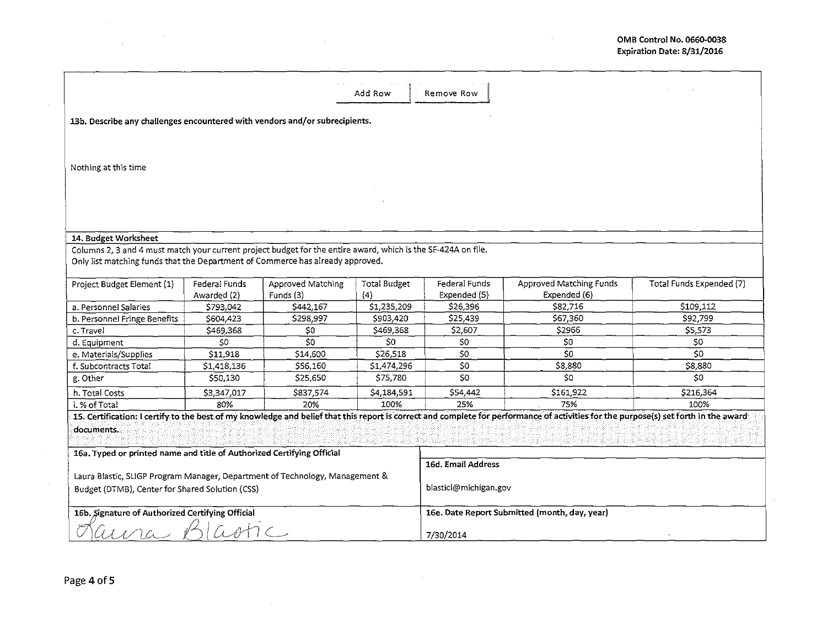$\bar{z}$ 

|                                                                                                               |                              |                                | Add Row                    | Remove Row                                    |                                                                                                                                                                                      |                          |  |  |  |  |
|---------------------------------------------------------------------------------------------------------------|------------------------------|--------------------------------|----------------------------|-----------------------------------------------|--------------------------------------------------------------------------------------------------------------------------------------------------------------------------------------|--------------------------|--|--|--|--|
| 13b. Describe any challenges encountered with vendors and/or subrecipients.                                   |                              |                                |                            |                                               |                                                                                                                                                                                      |                          |  |  |  |  |
|                                                                                                               |                              |                                |                            |                                               |                                                                                                                                                                                      |                          |  |  |  |  |
| Nothing at this time                                                                                          |                              |                                |                            |                                               |                                                                                                                                                                                      |                          |  |  |  |  |
|                                                                                                               |                              |                                |                            |                                               |                                                                                                                                                                                      |                          |  |  |  |  |
|                                                                                                               |                              |                                |                            |                                               |                                                                                                                                                                                      |                          |  |  |  |  |
|                                                                                                               |                              |                                |                            |                                               |                                                                                                                                                                                      |                          |  |  |  |  |
| 14. Budget Worksheet                                                                                          |                              |                                |                            |                                               |                                                                                                                                                                                      |                          |  |  |  |  |
| Columns 2, 3 and 4 must match your current project budget for the entire award, which is the SF-424A on file. |                              |                                |                            |                                               |                                                                                                                                                                                      |                          |  |  |  |  |
| Only list matching funds that the Department of Commerce has already approved.                                |                              |                                |                            |                                               |                                                                                                                                                                                      |                          |  |  |  |  |
| Project Budget Element (1)                                                                                    | Federal Funds<br>Awarded (2) | Approved Matching<br>Funds (3) | <b>Total Budget</b><br>(4) | Federal Funds<br>Expended (5)                 | Approved Matching Funds<br>Expended (6)                                                                                                                                              | Total Funds Expended (7) |  |  |  |  |
| a. Personnel Salaries                                                                                         | \$793,042                    | \$442,167                      | \$1,235,209                | \$26,396                                      | S82.716                                                                                                                                                                              | \$109,112                |  |  |  |  |
| b. Personnel Fringe Benefits                                                                                  | \$604,423                    | \$298,997                      | \$903,420                  | \$25,439                                      | \$67,360                                                                                                                                                                             | \$92,799                 |  |  |  |  |
| c. Travel                                                                                                     | \$469,368                    | \$0                            | \$469,368                  | \$2,607                                       | \$2966                                                                                                                                                                               | \$5,573                  |  |  |  |  |
| d. Equipment                                                                                                  | \$0                          | \$0                            | \$0                        | \$0                                           | \$0                                                                                                                                                                                  | \$0                      |  |  |  |  |
| e. Materials/Supplies                                                                                         | \$11,918                     | \$14,600                       | \$26,518                   | SO <sub>2</sub>                               | \$0\$                                                                                                                                                                                | SO <sub>2</sub>          |  |  |  |  |
| f. Subcontracts Total                                                                                         | \$1,418,136                  | \$56,160                       | \$1,474,296                | \$0                                           | \$8,880                                                                                                                                                                              | \$8,880                  |  |  |  |  |
| g. Other                                                                                                      | \$50,130                     | \$25,650                       | \$75,780                   | \$O                                           | \$0                                                                                                                                                                                  | SO <sub>2</sub>          |  |  |  |  |
| h. Total Costs                                                                                                | \$3,347,017                  | \$837,574                      | \$4,184,591                | \$54,442                                      | \$161,922                                                                                                                                                                            | \$216,364                |  |  |  |  |
| i. % of Total                                                                                                 | 80%                          | 20%                            | 100%                       | 25%                                           | 75%                                                                                                                                                                                  | 100%                     |  |  |  |  |
| documents.                                                                                                    |                              |                                |                            |                                               | 15. Certification: I certify to the best of my knowledge and belief that this report is correct and complete for performance of activities for the purpose(s) set forth in the award |                          |  |  |  |  |
| 16a. Typed or printed name and title of Authorized Certifying Official                                        |                              |                                | 16d. Email Address         |                                               |                                                                                                                                                                                      |                          |  |  |  |  |
| Laura Blastic, SLIGP Program Manager, Department of Technology, Management &                                  |                              |                                |                            |                                               |                                                                                                                                                                                      |                          |  |  |  |  |
| Budget (DTMB), Center for Shared Solution (CSS)                                                               |                              |                                |                            | blasticl@michigan.gov                         |                                                                                                                                                                                      |                          |  |  |  |  |
| 16b. Signature of Authorized Certifying Official                                                              |                              |                                |                            | 16e. Date Report Submitted (month, day, year) |                                                                                                                                                                                      |                          |  |  |  |  |
|                                                                                                               |                              |                                |                            | 7/30/2014                                     |                                                                                                                                                                                      |                          |  |  |  |  |

 $\sim$ 

 $\sim 400$ 

 $\label{eq:2.1} \frac{1}{\sqrt{2\pi}}\int_{\mathbb{R}^3} \frac{1}{\sqrt{2\pi}}\left(\frac{1}{\sqrt{2\pi}}\right)^2 \frac{1}{\sqrt{2\pi}}\frac{1}{\sqrt{2\pi}}\frac{1}{\sqrt{2\pi}}\frac{1}{\sqrt{2\pi}}\frac{1}{\sqrt{2\pi}}\frac{1}{\sqrt{2\pi}}\frac{1}{\sqrt{2\pi}}\frac{1}{\sqrt{2\pi}}\frac{1}{\sqrt{2\pi}}\frac{1}{\sqrt{2\pi}}\frac{1}{\sqrt{2\pi}}\frac{1}{\sqrt{2\pi}}\frac{1}{\sqrt{2\pi}}\$ 

 $\sim 10^7$